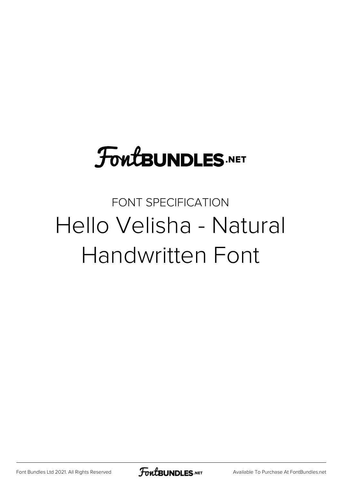# FoutBUNDLES.NET

#### FONT SPECIFICATION Hello Velisha - Natural Handwritten Font

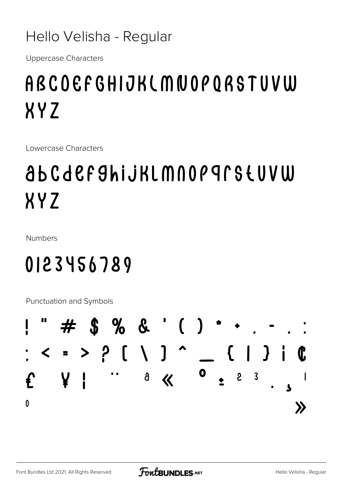#### Hello Velisha - Regular

**Uppercase Characters** 

### ABCOEFGHIJKLMNOPORSTUVW **XYZ**

Lowercase Characters

## ab C d e F 9 hi j K L M N O P 9 L S Ł U V W XYZ

**Numbers** 

### 0123456789

Punctuation and Symbols

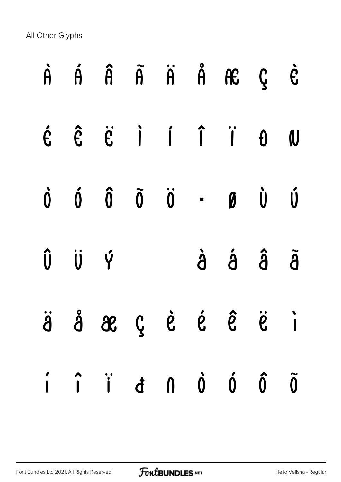All Other Glyphs

|       | $\dot{A}$ $\dot{A}$ $\ddot{A}$ $\ddot{A}$ $\ddot{A}$ $\ddot{B}$ $\ddot{C}$                                                                                                                                                                                                                                                                                                                                                             |  |         |  |
|-------|----------------------------------------------------------------------------------------------------------------------------------------------------------------------------------------------------------------------------------------------------------------------------------------------------------------------------------------------------------------------------------------------------------------------------------------|--|---------|--|
|       | $\begin{array}{ccccccccccccccccc} \mathbf{c} & \mathbf{c} & \mathbf{c} & \mathbf{c} & \mathbf{c} & \mathbf{c} & \mathbf{c} & \mathbf{c} & \mathbf{c} & \mathbf{c} & \mathbf{c} & \mathbf{c} & \mathbf{c} & \mathbf{c} & \mathbf{c} & \mathbf{c} & \mathbf{c} & \mathbf{c} & \mathbf{c} & \mathbf{c} & \mathbf{c} & \mathbf{c} & \mathbf{c} & \mathbf{c} & \mathbf{c} & \mathbf{c} & \mathbf{c} & \mathbf{c} & \mathbf{c} & \mathbf{c}$ |  |         |  |
|       | $\begin{matrix} \mathbf{0} & \mathbf{0} & \mathbf{0} & \mathbf{0} & \mathbf{0} & \mathbf{0} & \mathbf{0} & \mathbf{0} & \mathbf{0} & \mathbf{0} & \mathbf{0} & \mathbf{0} & \mathbf{0} & \mathbf{0} & \mathbf{0} & \mathbf{0} & \mathbf{0} & \mathbf{0} & \mathbf{0} & \mathbf{0} & \mathbf{0} & \mathbf{0} & \mathbf{0} & \mathbf{0} & \mathbf{0} & \mathbf{0} & \mathbf{0} & \mathbf{0} & \mathbf{0} & \mathbf{0} & \mathbf{0$       |  |         |  |
| Û Ü Ý |                                                                                                                                                                                                                                                                                                                                                                                                                                        |  | à á â ã |  |
|       | äåæçèé ê ë i                                                                                                                                                                                                                                                                                                                                                                                                                           |  |         |  |
|       | $\hat{i}$ $\hat{i}$ $\hat{d}$ $\hat{0}$ $\hat{0}$ $\hat{0}$                                                                                                                                                                                                                                                                                                                                                                            |  |         |  |